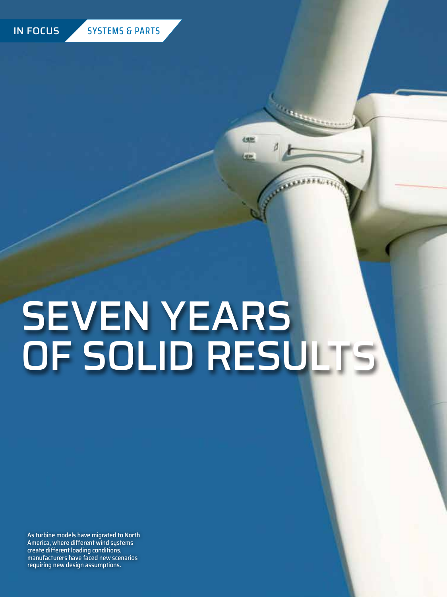

# SEVEN YEARS OF SOLID RESULTS

 $\mathbf{u}_1$ 

**dem** 

**HERE** 

As turbine models have migrated to North America, where different wind systems create different loading conditions, manufacturers have faced new scenarios requiring new design assumptions.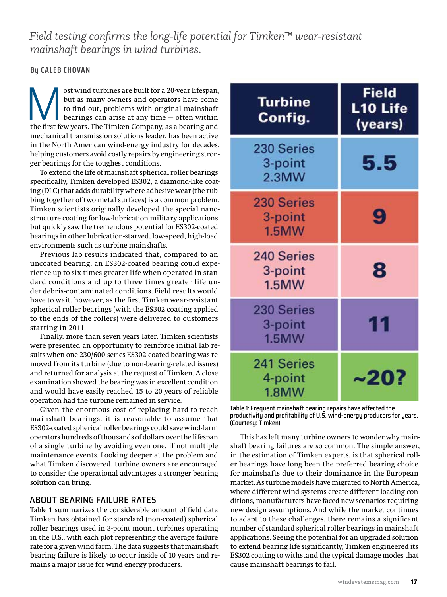*Field testing confirms the long-life potential for Timken™ wear-resistant mainshaft bearings in wind turbines.*

# **By CALEB CHOVAN**

ost wind turbines are built for a 20-year lifespan, but as many owners and operators have come to find out, problems with original mainshaft bearings can arise at any time – often within the first few years. The Timken Com but as many owners and operators have come to find out, problems with original mainshaft bearings can arise at any time — often within mechanical transmission solutions leader, has been active in the North American wind-energy industry for decades, helping customers avoid costly repairs by engineering stronger bearings for the toughest conditions.

To extend the life of mainshaft spherical roller bearings specifically, Timken developed ES302, a diamond-like coating (DLC) that adds durability where adhesive wear (the rubbing together of two metal surfaces) is a common problem. Timken scientists originally developed the special nanostructure coating for low-lubrication military applications but quickly saw the tremendous potential for ES302-coated bearings in other lubrication-starved, low-speed, high-load environments such as turbine mainshafts.

Previous lab results indicated that, compared to an uncoated bearing, an ES302-coated bearing could experience up to six times greater life when operated in standard conditions and up to three times greater life under debris-contaminated conditions. Field results would have to wait, however, as the first Timken wear-resistant spherical roller bearings (with the ES302 coating applied to the ends of the rollers) were delivered to customers starting in 2011.

Finally, more than seven years later, Timken scientists were presented an opportunity to reinforce initial lab results when one 230/600-series ES302-coated bearing was removed from its turbine (due to non-bearing-related issues) and returned for analysis at the request of Timken. A close examination showed the bearing was in excellent condition and would have easily reached 15 to 20 years of reliable operation had the turbine remained in service.

Given the enormous cost of replacing hard-to-reach mainshaft bearings, it is reasonable to assume that ES302-coated spherical roller bearings could save wind-farm operators hundreds of thousands of dollars over the lifespan of a single turbine by avoiding even one, if not multiple maintenance events. Looking deeper at the problem and what Timken discovered, turbine owners are encouraged to consider the operational advantages a stronger bearing solution can bring.

# ABOUT BEARING FAILURE RATES

Table 1 summarizes the considerable amount of field data Timken has obtained for standard (non-coated) spherical roller bearings used in 3-point mount turbines operating in the U.S., with each plot representing the average failure rate for a given wind farm. The data suggests that mainshaft bearing failure is likely to occur inside of 10 years and remains a major issue for wind energy producers.

| <b>Turbine</b><br>Config.             | <b>Field</b><br>L <sub>10</sub> Life<br>(years) |
|---------------------------------------|-------------------------------------------------|
| 230 Series<br>3-point<br>2.3MW        | 5.5                                             |
| 230 Series<br>3-point<br><b>1.5MW</b> | 9                                               |
| 240 Series<br>3-point<br>1.5MW        | 8                                               |
| 230 Series<br>3-point<br><b>1.5MW</b> | 11                                              |
| 241 Series<br>4-point<br><b>1.8MW</b> | ~20?                                            |

Table 1: Frequent mainshaft bearing repairs have affected the productivity and profitability of U.S. wind-energy producers for years. (Courtesy: Timken)

This has left many turbine owners to wonder why mainshaft bearing failures are so common. The simple answer, in the estimation of Timken experts, is that spherical roller bearings have long been the preferred bearing choice for mainshafts due to their dominance in the European market. As turbine models have migrated to North America, where different wind systems create different loading conditions, manufacturers have faced new scenarios requiring new design assumptions. And while the market continues to adapt to these challenges, there remains a significant number of standard spherical roller bearings in mainshaft applications. Seeing the potential for an upgraded solution to extend bearing life significantly, Timken engineered its ES302 coating to withstand the typical damage modes that cause mainshaft bearings to fail.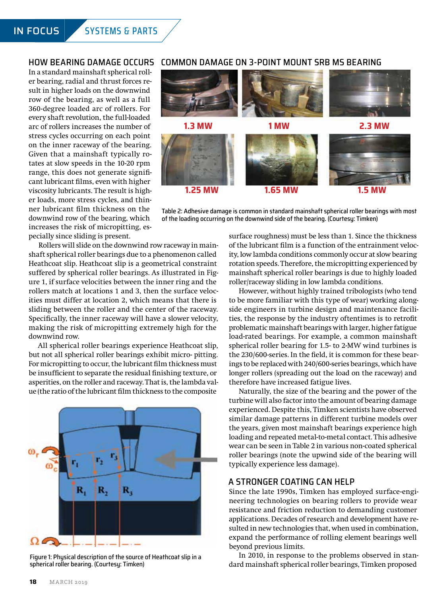#### HOW BEARING DAMAGE OCCURS

In a standard mainshaft spherical roller bearing, radial and thrust forces result in higher loads on the downwind row of the bearing, as well as a full 360-degree loaded arc of rollers. For every shaft revolution, the full-loaded arc of rollers increases the number of stress cycles occurring on each point on the inner raceway of the bearing. Given that a mainshaft typically rotates at slow speeds in the 10-20 rpm range, this does not generate significant lubricant films, even with higher viscosity lubricants. The result is higher loads, more stress cycles, and thinner lubricant film thickness on the downwind row of the bearing, which increases the risk of micropitting, especially since sliding is present.

#### COMMON DAMAGE ON 3-POINT MOUNT SRB MS BEARING



Table 2: Adhesive damage is common in standard mainshaft spherical roller bearings with most of the loading occurring on the downwind side of the bearing. (Courtesy: Timken)

Rollers will slide on the downwind row raceway in mainshaft spherical roller bearings due to a phenomenon called Heathcoat slip. Heathcoat slip is a geometrical constraint suffered by spherical roller bearings. As illustrated in Figure 1, if surface velocities between the inner ring and the rollers match at locations 1 and 3, then the surface velocities must differ at location 2, which means that there is sliding between the roller and the center of the raceway. Specifically, the inner raceway will have a slower velocity, making the risk of micropitting extremely high for the downwind row.

All spherical roller bearings experience Heathcoat slip, but not all spherical roller bearings exhibit micro- pitting. For micropitting to occur, the lubricant film thickness must be insufficient to separate the residual finishing texture, or asperities, on the roller and raceway. That is, the lambda value (the ratio of the lubricant film thickness to the composite



Figure 1: Physical description of the source of Heathcoat slip in a spherical roller bearing. (Courtesy: Timken)

surface roughness) must be less than 1. Since the thickness of the lubricant film is a function of the entrainment velocity, low lambda conditions commonly occur at slow bearing rotation speeds. Therefore, the micropitting experienced by mainshaft spherical roller bearings is due to highly loaded roller/raceway sliding in low lambda conditions.

However, without highly trained tribologists (who tend to be more familiar with this type of wear) working alongside engineers in turbine design and maintenance facilities, the response by the industry oftentimes is to retrofit problematic mainshaft bearings with larger, higher fatigue load-rated bearings. For example, a common mainshaft spherical roller bearing for 1.5- to 2-MW wind turbines is the 230/600-series. In the field, it is common for these bearings to be replaced with 240/600-series bearings, which have longer rollers (spreading out the load on the raceway) and therefore have increased fatigue lives.

Naturally, the size of the bearing and the power of the turbine will also factor into the amount of bearing damage experienced. Despite this, Timken scientists have observed similar damage patterns in different turbine models over the years, given most mainshaft bearings experience high loading and repeated metal-to-metal contact. This adhesive wear can be seen in Table 2 in various non-coated spherical roller bearings (note the upwind side of the bearing will typically experience less damage).

# A STRONGER COATING CAN HELP

Since the late 1990s, Timken has employed surface-engineering technologies on bearing rollers to provide wear resistance and friction reduction to demanding customer applications. Decades of research and development have resulted in new technologies that, when used in combination, expand the performance of rolling element bearings well beyond previous limits.

In 2010, in response to the problems observed in standard mainshaft spherical roller bearings, Timken proposed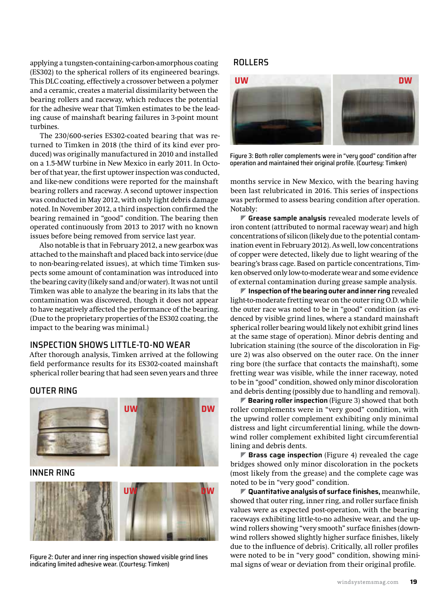applying a tungsten-containing-carbon-amorphous coating (ES302) to the spherical rollers of its engineered bearings. This DLC coating, effectively a crossover between a polymer and a ceramic, creates a material dissimilarity between the bearing rollers and raceway, which reduces the potential for the adhesive wear that Timken estimates to be the leading cause of mainshaft bearing failures in 3-point mount turbines.

The 230/600-series ES302-coated bearing that was returned to Timken in 2018 (the third of its kind ever produced) was originally manufactured in 2010 and installed on a 1.5-MW turbine in New Mexico in early 2011. In October of that year, the first uptower inspection was conducted, and like-new conditions were reported for the mainshaft bearing rollers and raceway. A second uptower inspection was conducted in May 2012, with only light debris damage noted. In November 2012, a third inspection confirmed the bearing remained in "good" condition. The bearing then operated continuously from 2013 to 2017 with no known issues before being removed from service last year.

Also notable is that in February 2012, a new gearbox was attached to the mainshaft and placed back into service (due to non-bearing-related issues), at which time Timken suspects some amount of contamination was introduced into the bearing cavity (likely sand and/or water). It was not until Timken was able to analyze the bearing in its labs that the contamination was discovered, though it does not appear to have negatively affected the performance of the bearing. (Due to the proprietary properties of the ES302 coating, the impact to the bearing was minimal.)

# INSPECTION SHOWS LITTLE-TO-NO WEAR

After thorough analysis, Timken arrived at the following field performance results for its ES302-coated mainshaft spherical roller bearing that had seen seven years and three

#### OUTER RING



# INNER RING



Figure 2: Outer and inner ring inspection showed visible grind lines indicating limited adhesive wear. (Courtesy: Timken)

### ROLLERS



Figure 3: Both roller complements were in "very good" condition after operation and maintained their original profile. (Courtesy: Timken)

months service in New Mexico, with the bearing having been last relubricated in 2016. This series of inspections was performed to assess bearing condition after operation. Notably:

] **Grease sample analysis** revealed moderate levels of iron content (attributed to normal raceway wear) and high concentrations of silicon (likely due to the potential contamination event in February 2012). As well, low concentrations of copper were detected, likely due to light wearing of the bearing's brass cage. Based on particle concentrations, Timken observed only low-to-moderate wear and some evidence of external contamination during grease sample analysis.

] **Inspection of the bearing outer and inner ring** revealed light-to-moderate fretting wear on the outer ring O.D. while the outer race was noted to be in "good" condition (as evidenced by visible grind lines, where a standard mainshaft spherical roller bearing would likely not exhibit grind lines at the same stage of operation). Minor debris denting and lubrication staining (the source of the discoloration in Figure 2) was also observed on the outer race. On the inner ring bore (the surface that contacts the mainshaft), some fretting wear was visible, while the inner raceway, noted to be in "good" condition, showed only minor discoloration and debris denting (possibly due to handling and removal).

■ **Bearing roller inspection** (Figure 3) showed that both roller complements were in "very good" condition, with the upwind roller complement exhibiting only minimal distress and light circumferential lining, while the downwind roller complement exhibited light circumferential lining and debris dents.

▶ Brass cage inspection (Figure 4) revealed the cage bridges showed only minor discoloration in the pockets (most likely from the grease) and the complete cage was noted to be in "very good" condition.

] **Quantitative analysis of surface finishes,** meanwhile, showed that outer ring, inner ring, and roller surface finish values were as expected post-operation, with the bearing raceways exhibiting little-to-no adhesive wear, and the upwind rollers showing "very smooth" surface finishes (downwind rollers showed slightly higher surface finishes, likely due to the influence of debris). Critically, all roller profiles were noted to be in "very good" condition, showing minimal signs of wear or deviation from their original profile.